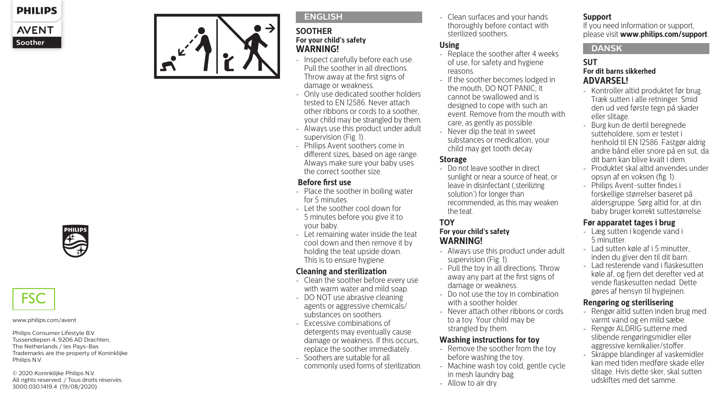



#### **ENGLISH**

#### **SOOTHER For your child's safety WARNING!**

- Inspect carefully before each use. Pull the soother in all directions. Throw away at the first signs of damage or weakness.
- Only use dedicated soother holders tested to EN 12586. Never attach other ribbons or cords to a soother, your child may be strangled by them.
- Always use this product under adult supervision (Fig. 1).
- Philips Avent soothers come in different sizes, based on age range. Always make sure your baby uses the correct soother size.

#### **Before first use**

- Place the soother in boiling water for 5 minutes.
- Let the soother cool down for 5 minutes before you give it to your baby.
- Let remaining water inside the teat cool down and then remove it by holding the teat upside down. This is to ensure hygiene.

## **Cleaning and sterilization**

- Clean the soother before every use with warm water and mild soap.
- DO NOT use abrasive cleaning agents or aggressive chemicals/ substances on soothers.
- Excessive combinations of detergents may eventually cause damage or weakness. If this occurs, replace the soother immediately.
- Soothers are suitable for all commonly used forms of sterilization.

- Clean surfaces and your hands thoroughly before contact with sterilized soothers.

## **Using**

- Replace the soother after 4 weeks of use, for safety and hygiene reasons.
- If the soother becomes lodged in the mouth, DO NOT PANIC; it cannot be swallowed and is designed to cope with such an event. Remove from the mouth with care, as gently as possible.
- Never dip the teat in sweet substances or medication, your child may get tooth decay.

## **Storage**

- Do not leave soother in direct sunlight or near a source of heat, or leave in disinfectant (sterilizing solution') for longer than recommended, as this may weaken the teat.

## **TOY**

## **For your child's safety WARNING!**

- Always use this product under adult supervision (Fig. 1).
- Pull the toy in all directions. Throw away any part at the first signs of damage or weakness.
- Do not use the toy in combination with a soother holder.
- Never attach other ribbons or cords to a toy. Your child may be strangled by them.

### **Washing instructions for toy**

- Remove the soother from the toy before washing the toy.
- Machine wash toy cold, gentle cycle in mesh laundry bag.
- Allow to air dry.

## **Support**

If you need information or support, please visit **www.philips.com/support** .

## **DANSK**

#### **SUT For dit barns sikkerhed ADVARSEL!**

- Kontroller altid produktet før brug. Træk sutten i alle retninger. Smid den ud ved første tegn på skader eller slitage.
- Burg kun de dertil beregnede sutteholdere, som er testet i henhold til EN 12586. Fastgør aldrig andre bånd eller snore på en sut, da dit barn kan blive kvalt i dem.
- Produktet skal altid anvendes under opsyn af en voksen (fig. 1).
- Philips Avent-sutter findes i forskellige størrelser baseret på aldersgruppe. Sørg altid for, at din baby bruger korrekt suttestørrelse.

## **Før apparatet tages i brug**

- Læg sutten i kogende vand i 5 minutter.
- Lad sutten køle af i 5 minutter, inden du giver den til dit barn.
- Lad resterende vand i flaskesutten køle af, og fjern det derefter ved at vende flaskesutten nedad. Dette gøres af hensyn til hygiejnen.

## **Rengøring og sterilisering**

- Rengør altid sutten inden brug med varmt vand og en mild sæbe.
- Rengør ALDRIG sutterne med slibende rengøringsmidler eller aggressive kemikalier/stoffer.
- Skrappe blandinger af vaskemidler kan med tiden medføre skade eller slitage. Hvis dette sker, skal sutten udskiftes med det samme.



# **FSC**

#### www.philips.com/avent

Philips Consumer Lifestyle B.V. Tussendiepen 4, 9206 AD Drachten, The Netherlands / les Pays-Bas Trademarks are the property of Koninklijke Philips N.V.

© 2020 Koninklijke Philips N.V. All rights reserved. / Tous droits réservés. 3000.030.1419.4 (19/08/2020)

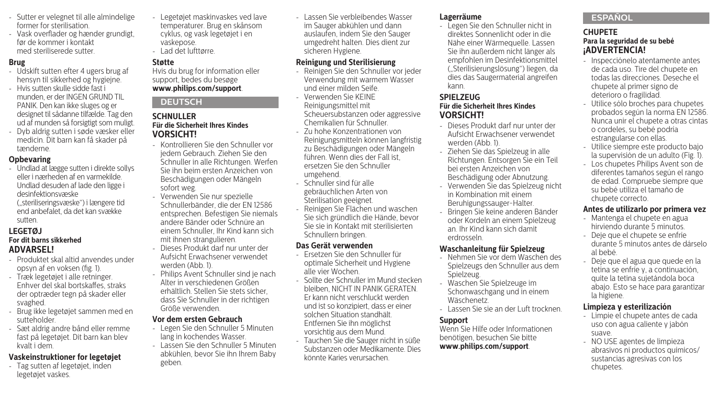- Sutter er velegnet til alle almindelige former for sterilisation.
- Vask overflader og hænder grundigt, før de kommer i kontakt med steriliserede sutter.

#### **Brug**

- Udskift sutten efter 4 ugers brug af hensyn til sikkerhed og hygiejne.
- Hvis sutten skulle sidde fast i munden, er der INGEN GRUND TIL PANIK. Den kan ikke sluges og er designet til sådanne tilfælde. Tag den ud af munden så forsigtigt som muligt.
- Dyb aldrig sutten i søde væsker eller medicin. Dit barn kan få skader på tænderne.

#### **Opbevaring**

- Undlad at lægge sutten i direkte sollys eller i nærheden af en varmekilde. Undlad desuden af lade den ligge i desinfektionsvæske ("steriliseringsvæske") i længere tid end anbefalet, da det kan svække sutten.

#### **LEGETØJ For dit barns sikkerhed ADVARSEL!**

- Produktet skal altid anvendes under opsyn af en voksen (fig. 1).
- Træk legetøjet i alle retninger. Enhver del skal bortskaffes, straks der optræder tegn på skader eller svaghed.
- Brug ikke legetøjet sammen med en sutteholder.
- Sæt aldrig andre bånd eller remme fast på legetøjet. Dit barn kan blev kvalt i dem.

#### **Vaskeinstruktioner for legetøjet**

- Tag sutten af legetøjet, inden legetøjet vaskes.

- Legetøjet maskinvaskes ved lave temperaturer. Brug en skånsom cyklus, og vask legetøjet i en vaskepose.
- Lad det lufttørre.

#### **Støtte**

Hvis du brug for information eller support, bedes du besøge **www.philips.com/support**.

#### **DEUTSCH**

#### **SCHNULLER Für die Sicherheit Ihres Kindes VORSICHT!**

- Kontrollieren Sie den Schnuller vor jedem Gebrauch. Ziehen Sie den Schnuller in alle Richtungen. Werfen Sie ihn beim ersten Anzeichen von Beschädigungen oder Mängeln sofort weg.
- Verwenden Sie nur spezielle Schnullerbänder, die der EN 12586 entsprechen. Befestigen Sie niemals andere Bänder oder Schnüre an einem Schnuller, Ihr Kind kann sich mit ihnen strangulieren.
- Dieses Produkt darf nur unter der Aufsicht Erwachsener verwendet werden (Abb. 1).
- Philips Avent Schnuller sind je nach Alter in verschiedenen Größen erhältlich. Stellen Sie stets sicher, dass Sie Schnuller in der richtigen Größe verwenden.

#### **Vor dem ersten Gebrauch**

- Legen Sie den Schnuller 5 Minuten lang in kochendes Wasser.
- Lassen Sie den Schnuller 5 Minuten abkühlen, bevor Sie ihn Ihrem Baby geben.

- Lassen Sie verbleibendes Wasser im Sauger abkühlen und dann auslaufen, indem Sie den Sauger umgedreht halten. Dies dient zur sicheren Hygiene.

#### **Reinigung und Sterilisierung**

- Reinigen Sie den Schnuller vor jeder Verwendung mit warmem Wasser und einer milden Seife.
- Verwenden Sie KEINE Reinigungsmittel mit Scheuersubstanzen oder aggressive Chemikalien für Schnuller.
- Zu hohe Konzentrationen von Reinigungsmitteln können langfristig zu Beschädigungen oder Mängeln führen. Wenn dies der Fall ist ersetzen Sie den Schnuller umgehend.
- Schnuller sind für alle
- gebräuchlichen Arten von Sterilisation geeignet.
- Reinigen Sie Flächen und waschen Sie sich gründlich die Hände, bevor Sie sie in Kontakt mit sterilisierten Schnullern bringen.

#### **Das Gerät verwenden**

- Ersetzen Sie den Schnuller für optimale Sicherheit und Hygiene alle vier Wochen.
- Sollte der Schnuller im Mund stecken bleiben, NICHT IN PANIK GERATEN. Er kann nicht verschluckt werden und ist so konzipiert, dass er einer solchen Situation standhält. Entfernen Sie ihn möglichst vorsichtig aus dem Mund.
- Tauchen Sie die Sauger nicht in süße Substanzen oder Medikamente. Dies könnte Karies verursachen.

#### **Lagerräume**

- Legen Sie den Schnuller nicht in direktes Sonnenlicht oder in die Nähe einer Wärmequelle. Lassen Sie ihn außerdem nicht länger als empfohlen im Desinfektionsmittel ("Sterilisierungslösung") liegen, da dies das Saugermaterial angreifen kann.

#### **SPIELZEUG Für die Sicherheit Ihres Kindes VORSICHT!**

- Dieses Produkt darf nur unter der Aufsicht Erwachsener verwendet werden (Abb. 1).
- Ziehen Sie das Spielzeug in alle Richtungen. Entsorgen Sie ein Teil bei ersten Anzeichen von Beschädigung oder Abnutzung.
- Verwenden Sie das Spielzeug nicht in Kombination mit einem Beruhigungssauger-Halter.
- Bringen Sie keine anderen Bänder oder Kordeln an einem Spielzeug an. Ihr Kind kann sich damit erdrosseln.

### **Waschanleitung für Spielzeug**

- Nehmen Sie vor dem Waschen des Spielzeugs den Schnuller aus dem Spielzeug.
- Waschen Sie Spielzeuge im Schonwaschgang und in einem Wäschenetz.
- Lassen Sie sie an der Luft trocknen.

#### **Support**

Wenn Sie Hilfe oder Informationen benötigen, besuchen Sie bitte **www.philips.com/support**.

#### **ESPAÑOL**

#### **CHUPETE Para la seguridad de su bebé ¡ADVERTENCIA!**

- Inspecciónelo atentamente antes de cada uso. Tire del chupete en todas las direcciones. Deseche el chupete al primer signo de deterioro o fragilidad.
- Utilice sólo broches para chupetes probados según la norma EN 12586. Nunca unir el chupete a otras cintas o cordeles, su bebé podría estrangularse con ellas.
- Utilice siempre este producto bajo la supervisión de un adulto (Fig. 1).
- Los chupetes Philips Avent son de diferentes tamaños según el rango de edad. Compruebe siempre que su bebé utiliza el tamaño de chupete correcto.

#### **Antes de utilizarlo por primera vez**

- Mantenga el chupete en agua hirviendo durante 5 minutos.
- Deje que el chupete se enfríe durante 5 minutos antes de dárselo al bebé.
- Deje que el agua que quede en la tetina se enfríe y, a continuación, quite la tetina sujetándola boca abajo. Esto se hace para garantizar la higiene.

## **Limpieza y esterilización**

- Limpie el chupete antes de cada uso con agua caliente y jabón suave.
- NO USE agentes de limpieza abrasivos ni productos químicos/ sustancias agresivas con los chupetes.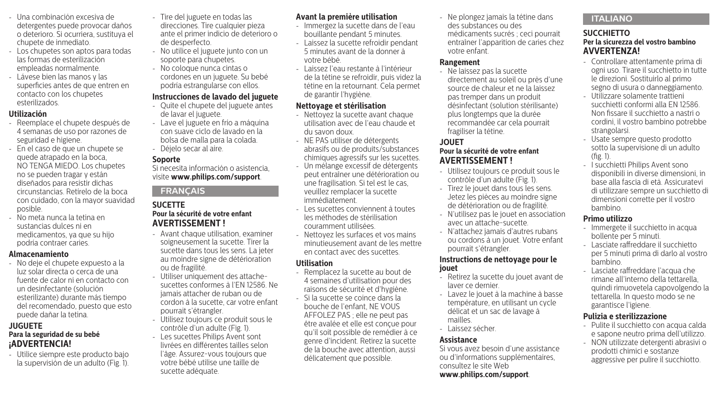- Una combinación excesiva de detergentes puede provocar daños o deterioro. Si ocurriera, sustituya el chupete de inmediato.
- Los chupetes son aptos para todas las formas de esterilización empleadas normalmente.
- Lávese bien las manos y las superficies antes de que entren en contacto con los chupetes esterilizados.

#### **Utilización**

- Reemplace el chupete después de 4 semanas de uso por razones de seguridad e higiene.
- En el caso de que un chupete se quede atrapado en la boca, NO TENGA MIEDO. Los chupetes no se pueden tragar y están diseñados para resistir dichas circunstancias. Retírelo de la boca con cuidado, con la mayor suavidad posible.
- No meta nunca la tetina en sustancias dulces ni en medicamentos, ya que su hijo podría contraer caries.

#### **Almacenamiento**

- No deje el chupete expuesto a la luz solar directa o cerca de una fuente de calor ni en contacto con un desinfectante (solución esterilizante) durante más tiempo del recomendado, puesto que esto puede dañar la tetina.

#### **JUGUETE Para la seguridad de su bebé ¡ADVERTENCIA!**

- Utilice siempre este producto bajo la supervisión de un adulto (Fig. 1).

- Tire del juguete en todas las direcciones. Tire cualquier pieza ante el primer indicio de deterioro o de desperfecto.
- No utilice el juguete junto con un soporte para chupetes.
- No coloque nunca cintas o cordones en un juguete. Su bebé podría estrangularse con ellos.

#### **Instrucciones de lavado del juguete**

- Quite el chupete del juguete antes de lavar el juguete.
- Lave el juguete en frío a máquina con suave ciclo de lavado en la bolsa de malla para la colada.
- Déjelo secar al aire.

#### **Soporte**

Si necesita información o asistencia, visite **www.philips.com/support**.

## **FRANÇAIS**

#### **SUCETTE Pour la sécurité de votre enfant AVERTISSEMENT !**

- Avant chaque utilisation, examiner soigneusement la sucette. Tirer la sucette dans tous les sens. La jeter au moindre signe de détérioration ou de fragilité.
- Utiliser uniquement des attachesucettes conformes à l'EN 12586. Ne jamais attacher de ruban ou de cordon à la sucette, car votre enfant pourrait s'étrangler.
- Utilisez toujours ce produit sous le contrôle d'un adulte (Fig. 1).
- Les sucettes Philips Avent sont livrées en différentes tailles selon l'âge. Assurez-vous toujours que votre bébé utilise une taille de sucette adéquate.

#### **Avant la première utilisation**

- Immergez la sucette dans de l'eau bouillante pendant 5 minutes.
- Laissez la sucette refroidir pendant 5 minutes avant de la donner à votre bébé.
- Laissez l'eau restante à l'intérieur de la tétine se refroidir, puis videz la tétine en la retournant. Cela permet de garantir l'hygiène.

#### **Nettoyage et stérilisation**

- Nettoyez la sucette avant chaque utilisation avec de l'eau chaude et du savon doux.
- NE PAS utiliser de détergents abrasifs ou de produits/substances chimiques agressifs sur les sucettes.
- Un mélange excessif de détergents peut entraîner une détérioration ou une fragilisation. Si tel est le cas, veuillez remplacer la sucette immédiatement.
- Les sucettes conviennent à toutes les méthodes de stérilisation couramment utilisées.
- Nettoyez les surfaces et vos mains minutieusement avant de les mettre en contact avec des sucettes.

#### **Utilisation**

- Remplacez la sucette au bout de 4 semaines d'utilisation pour des raisons de sécurité et d'hygiène.
- Si la sucette se coince dans la bouche de l'enfant, NE VOUS AFFOLEZ PAS ; elle ne peut pas être avalée et elle est conçue pour qu'il soit possible de remédier à ce genre d'incident. Retirez la sucette de la bouche avec attention, aussi délicatement que possible.

- Ne plongez jamais la tétine dans des substances ou des médicaments sucrés ; ceci pourrait entraîner l'apparition de caries chez votre enfant.

#### **Rangement**

- Ne laissez pas la sucette directement au soleil ou près d'une source de chaleur et ne la laissez pas tremper dans un produit désinfectant (solution stérilisante) plus longtemps que la durée recommandée car cela pourrait fragiliser la tétine.

## **JOUET**

### **Pour la sécurité de votre enfant AVERTISSEMENT !**

- Utilisez toujours ce produit sous le contrôle d'un adulte (Fig. 1).
- Tirez le jouet dans tous les sens. Jetez les pièces au moindre signe de détérioration ou de fragilité.
- N'utilisez pas le jouet en association avec un attache-sucette.
- N'attachez jamais d'autres rubans ou cordons à un jouet. Votre enfant pourrait s'étrangler.

#### **Instructions de nettoyage pour le jouet**

- Retirez la sucette du jouet avant de laver ce dernier.
- Lavez le jouet à la machine à basse température, en utilisant un cycle délicat et un sac de lavage à mailles.
- Laissez sécher.

### **Assistance**

Si vous avez besoin d'une assistance ou d'informations supplémentaires, consultez le site Web **www.philips.com/support**.

## **ITALIANO**

#### **SUCCHIETTO Per la sicurezza del vostro bambino AVVERTENZA!**

- Controllare attentamente prima di ogni uso. Tirare il succhietto in tutte le direzioni. Sostituirlo al primo segno di usura o danneggiamento.
- Utilizzare solamente trattieni succhietti conformi alla EN 12586. Non fissare il succhietto a nastri o cordini, il vostro bambino potrebbe strangolarsi.
- Usate sempre questo prodotto sotto la supervisione di un adulto (fig. 1).
- I succhietti Philips Avent sono disponibili in diverse dimensioni, in base alla fascia di età. Assicuratevi di utilizzare sempre un succhietto di dimensioni corrette per il vostro bambino.

#### **Primo utilizzo**

- Immergete il succhietto in acqua bollente per 5 minuti.
- Lasciate raffreddare il succhietto per 5 minuti prima di darlo al vostro bambino.
- Lasciate raffreddare l'acqua che rimane all'interno della tettarella, quindi rimuovetela capovolgendo la tettarella. In questo modo se ne garantisce l'igiene.

#### **Pulizia e sterilizzazione**

- Pulite il succhietto con acqua calda e sapone neutro prima dell'utilizzo.
- NON utilizzate detergenti abrasivi o prodotti chimici e sostanze aggressive per pulire il succhiotto.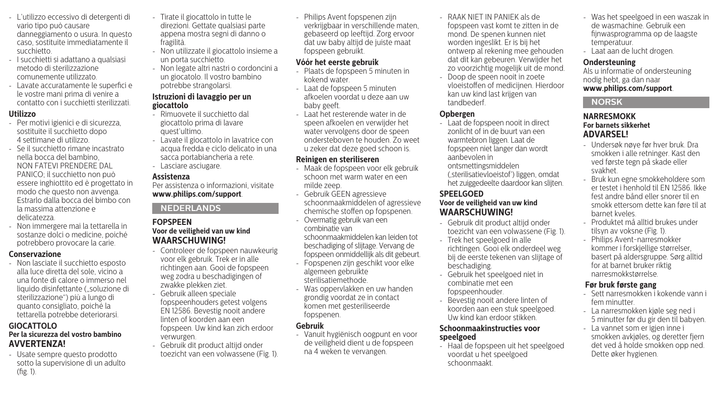- L'utilizzo eccessivo di detergenti di vario tipo può causare danneggiamento o usura. In questo caso, sostituite immediatamente il succhietto.
- I succhietti si adattano a qualsiasi metodo di sterilizzazione comunemente utilizzato.
- Lavate accuratamente le superfici e le vostre mani prima di venire a contatto con i succhietti sterilizzati.

#### **Utilizzo**

- Per motivi igienici e di sicurezza, sostituite il succhietto dopo 4 settimane di utilizzo.
- Se il succhietto rimane incastrato nella bocca del bambino, NON FATEVI PRENDERE DAL PANICO; il succhietto non può essere inghiottito ed è progettato in modo che questo non avvenga. Estrarlo dalla bocca del bimbo con la massima attenzione e delicatezza.
- Non immergere mai la tettarella in sostanze dolci o medicine, poiché potrebbero provocare la carie.

#### **Conservazione**

- Non lasciate il succhietto esposto alla luce diretta del sole, vicino a una fonte di calore o immerso nel liquido disinfettante ("soluzione di sterilizzazione") più a lungo di quanto consigliato, poiché la tettarella potrebbe deteriorarsi.

#### **GIOCATTOLO Per la sicurezza del vostro bambino AVVERTENZA!**

- Usate sempre questo prodotto sotto la supervisione di un adulto (fig. 1).

- Tirate il giocattolo in tutte le direzioni. Gettate qualsiasi parte appena mostra segni di danno o fragilità.
- Non utilizzate il giocattolo insieme a un porta succhietto.
- Non legate altri nastri o cordoncini a un giocatolo. Il vostro bambino potrebbe strangolarsi.

#### **Istruzioni di lavaggio per un giocattolo**

- Rimuovete il succhietto dal giocattolo prima di lavare quest'ultimo.
- Lavate il giocattolo in lavatrice con acqua fredda e ciclo delicato in una sacca portabiancheria a rete.
- Lasciare asciugare.

#### **Assistenza**

Per assistenza o informazioni, visitate **www.philips.com/support**.

#### **NEDERLANDS**

#### **FOPSPEEN Voor de veiligheid van uw kind WAARSCHUWING!**

- Controleer de fopspeen nauwkeurig voor elk gebruik. Trek er in alle richtingen aan. Gooi de fopspeen weg zodra u beschadigingen of zwakke plekken ziet.
- Gebruik alleen speciale fopspeenhouders getest volgens EN 12586. Bevestig nooit andere linten of koorden aan een fopspeen. Uw kind kan zich erdoor verwurgen.
- Gebruik dit product altijd onder toezicht van een volwassene (Fig. 1).

- Philips Avent fopspenen zijn verkrijgbaar in verschillende maten, gebaseerd op leeftijd. Zorg ervoor dat uw baby altijd de juiste maat fopspeen gebruikt.

### **Vóór het eerste gebruik**

- Plaats de fopspeen 5 minuten in kokend water.
- Laat de fopspeen 5 minuten afkoelen voordat u deze aan uw baby geeft.
- Laat het resterende water in de speen afkoelen en verwijder het water vervolgens door de speen ondersteboven te houden. Zo weet u zeker dat deze goed schoon is.

#### **Reinigen en steriliseren**

- Maak de fopspeen voor elk gebruik schoon met warm water en een milde zeep.
- Gebruik GEEN agressieve schoonmaakmiddelen of agressieve chemische stoffen op fopspenen.
- Overmatig gebruik van een combinatie van schoonmaakmiddelen kan leiden tot

beschadiging of slijtage. Vervang de fopspeen onmiddellijk als dit gebeurt. - Fopspenen zijn geschikt voor elke

- algemeen gebruikte sterilisatiemethode.
- Was oppervlakken en uw handen grondig voordat ze in contact komen met gesteriliseerde fopspenen.

#### **Gebruik**

- Vanuit hygiënisch oogpunt en voor de veiligheid dient u de fopspeen na 4 weken te vervangen.

- RAAK NIET IN PANIEK als de fopspeen vast komt te zitten in de mond. De spenen kunnen niet worden ingeslikt. Er is bij het ontwerp al rekening mee gehouden dat dit kan gebeuren. Verwijder het zo voorzichtig mogelijk uit de mond.
- Doop de speen nooit in zoete vloeistoffen of medicijnen. Hierdoor kan uw kind last krijgen van tandbederf.

#### **Opbergen**

- Laat de fopspeen nooit in direct zonlicht of in de buurt van een warmtebron liggen. Laat de fopspeen niet langer dan wordt aanbevolen in
	- ontsmettingsmiddelen ('sterilisatievloeistof') liggen, omdat

het zuiggedeelte daardoor kan slijten.

## **SPEELGOED**

#### **Voor de veiligheid van uw kind WAARSCHUWING!**

- Gebruik dit product altijd onder toezicht van een volwassene (Fig. 1).
- Trek het speelgoed in alle richtingen. Gooi elk onderdeel weg bij de eerste tekenen van slijtage of beschadiging.
- Gebruik het speelgoed niet in combinatie met een fopspeenhouder.
- Bevestig nooit andere linten of koorden aan een stuk speelgoed. Uw kind kan erdoor stikken.

#### **Schoonmaakinstructies voor speelgoed**

- Haal de fopspeen uit het speelgoed voordat u het speelgoed schoonmaakt.

- Was het speelgoed in een waszak in de wasmachine. Gebruik een fijnwasprogramma op de laagste temperatuur.
- Laat aan de lucht drogen.

#### **Ondersteuning**

Als u informatie of ondersteuning nodig hebt, ga dan naar **www.philips.com/support**.

#### **NORSK**

#### **NARRESMOKK For barnets sikkerhet ADVARSEL!**

- Undersøk nøye før hver bruk. Dra smokken i alle retninger. Kast den ved første tegn på skade eller svakhet.
- Bruk kun egne smokkeholdere som er testet i henhold til EN 12586. Ikke fest andre bånd eller snorer til en smokk ettersom dette kan føre til at barnet kveles.
- Produktet må alltid brukes under tilsyn av voksne (Fig. 1).
- Philips Avent-narresmokker kommer i forskjellige størrelser, basert på aldersgruppe. Sørg alltid for at barnet bruker riktig narresmokkstørrelse.

## **Før bruk første gang**

- Sett narresmokken i kokende vann i fem minutter.
- La narresmokken kjøle seg ned i 5 minutter før du gir den til babyen.
- La vannet som er igjen inne i smokken avkjøles, og deretter fjern det ved å holde smokken opp ned. Dette øker hygienen.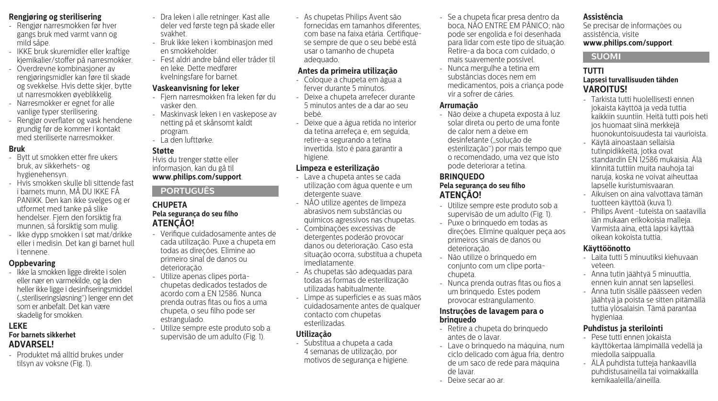## **Rengjøring og sterilisering**

- Rengjør narresmokken før hver gangs bruk med varmt vann og mild såpe.
- IKKE bruk skuremidler eller kraftige kjemikalier/stoffer på narresmokker.
- Overdrevne kombinasjoner av rengjøringsmidler kan føre til skade og svekkelse. Hvis dette skjer, bytte ut narresmokken øyeblikkelig.
- Narresmokker er egnet for alle vanlige typer sterilisering.
- Rengjør overflater og vask hendene grundig før de kommer i kontakt med steriliserte narresmokker.

#### **Bruk**

- Bytt ut smokken etter fire ukers bruk, av sikkerhets- og hygienehensyn.
- Hvis smokken skulle bli sittende fast i barnets munn, MÅ DU IKKE FÅ PANIKK. Den kan ikke svelges og er utformet med tanke på slike hendelser. Fjern den forsiktig fra munnen, så forsiktig som mulig.
- Ikke dypp smokken i søt mat/drikke eller i medisin. Det kan gi barnet hull i tennene.

#### **Oppbevaring**

- Ikke la smokken ligge direkte i solen eller nær en varmekilde, og la den heller ikke ligge i desinfiseringsmiddel ("steriliseringsløsning") lenger enn det som er anbefalt. Det kan være skadelig for smokken.

#### **LEKE For barnets sikkerhet ADVARSEL!**

- Produktet må alltid brukes under tilsyn av voksne (Fig. 1).

- Dra leken i alle retninger. Kast alle deler ved første tegn på skade eller svakhet.
- Bruk ikke leken i kombinasjon med en smokkeholder.
- Fest aldri andre bånd eller tråder til en leke. Dette medfører kvelningsfare for barnet.

#### **Vaskeanvisning for leker**

- Fjern narresmokken fra leken før du vasker den.
- Maskinvask leken i en vaskepose av netting på et skånsomt kaldt program.
- La den lufttørke.

#### **Støtte**

Hvis du trenger støtte eller informasjon, kan du gå til **www.philips.com/support**.

## **PORTUGUÊS**

#### **CHUPETA Pela segurança do seu filho ATENÇÃO!**

- Verifique cuidadosamente antes de cada utilização. Puxe a chupeta em todas as direções. Elimine ao primeiro sinal de danos ou deterioração.
- Utilize apenas clipes portachupetas dedicados testados de acordo com a EN 12586. Nunca prenda outras fitas ou fios a uma chupeta, o seu filho pode ser estrangulado.
- Utilize sempre este produto sob a supervisão de um adulto (Fig. 1).

- As chupetas Philips Avent são fornecidas em tamanhos diferentes, com base na faixa etária. Certifiquese sempre de que o seu bebé está usar o tamanho de chupeta adequado.

#### **Antes da primeira utilização**

- Coloque a chupeta em água a ferver durante 5 minutos.
- Deixe a chupeta arrefecer durante 5 minutos antes de a dar ao seu bebé.
- Deixe que a água retida no interior da tetina arrefeça e, em seguida, retire-a segurando a tetina invertida. Isto é para garantir a higiene.

#### **Limpeza e esterilização**

- Lave a chupeta antes se cada utilização com água quente e um detergente suave.
- NÃO utilize agentes de limpeza abrasivos nem substâncias ou químicos agressivos nas chupetas.
- Combinações excessivas de detergentes poderão provocar danos ou deterioração. Caso esta situação ocorra, substitua a chupeta imediatamente.
- As chupetas são adequadas para todas as formas de esterilização utilizadas habitualmente.
- Limpe as superfícies e as suas mãos cuidadosamente antes de qualquer contacto com chupetas esterilizadas.

#### **Utilização**

- Substitua a chupeta a cada 4 semanas de utilização, por motivos de segurança e higiene.

- Se a chupeta ficar presa dentro da boca, NÃO ENTRE EM PÂNICO; não pode ser engolida e foi desenhada para lidar com este tipo de situação. Retire-a da boca com cuidado, o mais suavemente possível.
- Nunca mergulhe a tetina em substâncias doces nem em medicamentos, pois a criança pode vir a sofrer de cáries.

#### **Arrumação**

- Não deixe a chupeta exposta à luz solar direta ou perto de uma fonte de calor nem a deixe em desinfetante ("solução de esterilização") por mais tempo que o recomendado, uma vez que isto pode deteriorar a tetina.

#### **BRINQUEDO Pela segurança do seu filho ATENÇÃO!**

- Utilize sempre este produto sob a supervisão de um adulto (Fig. 1).
- Puxe o brinquedo em todas as direções. Elimine qualquer peça aos primeiros sinais de danos ou deterioração.
- Não utilize o brinquedo em conjunto com um clipe portachupeta.
- Nunca prenda outras fitas ou fios a um brinquedo. Estes podem provocar estrangulamento.

#### **Instruções de lavagem para o brinquedo**

- Retire a chupeta do brinquedo antes de o lavar.
- Lave o brinquedo na máquina, num ciclo delicado com água fria, dentro de um saco de rede para máquina de lavar.
- Deixe secar ao ar.

## **Assistência**

Se precisar de informações ou assistência, visite **www.philips.com/support**.

## **SUOMI**

#### **TUTTI Lapsesi turvallisuuden tähden VAROITUS!**

- Tarkista tutti huolellisesti ennen jokaista käyttöä ja vedä tuttia kaikkiin suuntiin. Heitä tutti pois heti jos huomaat siinä merkkejä huonokuntoisuudesta tai vaurioista.
- Käytä ainoastaan sellaisia tutinpidikkeitä, jotka ovat standardin EN 12586 mukaisia. Älä kiinnitä tuttiin muita nauhoja tai naruja, koska ne voivat aiheuttaa lapselle kuristumisvaaran.
- Aikuisen on aina valvottava tämän tuotteen käyttöä (kuva 1).
- Philips Avent -tuteista on saatavilla iän mukaan erikokoisia malleja. Varmista aina, että lapsi käyttää oikean kokoista tuttia.

## **Käyttöönotto**

- Laita tutti 5 minuutiksi kiehuvaan veteen.
- Anna tutin jäähtyä 5 minuuttia, ennen kuin annat sen lapsellesi.
- Anna tutin sisälle päässeen veden jäähtyä ja poista se sitten pitämällä tuttia ylösalaisin. Tämä parantaa hygieniaa.

## **Puhdistus ja sterilointi**

- Pese tutti ennen jokaista käyttökertaa lämpimällä vedellä ja miedolla saippualla.
- ÄLÄ puhdista tutteja hankaavilla puhdistusaineilla tai voimakkailla kemikaaleilla/aineilla.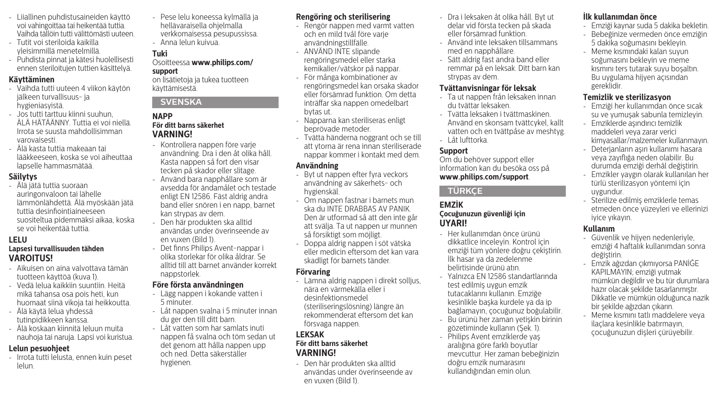- Liiallinen puhdistusaineiden käyttö voi vahingoittaa tai heikentää tuttia. Vaihda tällöin tutti välittömästi uuteen.
- Tutit voi steriloida kaikilla yleisimmillä menetelmillä.
- Puhdista pinnat ja kätesi huolellisesti ennen steriloitujen tuttien käsittelyä.

#### **Käyttäminen**

- Vaihda tutti uuteen 4 viikon käytön jälkeen turvallisuus- ja hygieniasyistä.
- Jos tutti tarttuu kiinni suuhun, ÄLÄ HÄTÄÄNNY. Tuttia ei voi niellä. Irrota se suusta mahdollisimman varovaisesti.
- Älä kasta tuttia makeaan tai lääkkeeseen, koska se voi aiheuttaa lapselle hammasmätää.

## **Säilytys**

- Älä jätä tuttia suoraan auringonvaloon tai lähelle lämmönlähdettä. Älä myöskään jätä tuttia desinfiointiaineeseen suositeltua pidemmäksi aikaa, koska se voi heikentää tuttia.

#### **LELU**

#### **Lapsesi turvallisuuden tähden VAROITUS!**

- Aikuisen on aina valvottava tämän tuotteen käyttöä (kuva 1).
- Vedä lelua kaikkiin suuntiin. Heitä mikä tahansa osa pois heti, kun huomaat siinä vikoja tai heikkoutta.
- Älä käytä lelua yhdessä tutinpidikkeen kanssa.
- Älä koskaan kiinnitä leluun muita nauhoja tai naruja. Lapsi voi kuristua.

#### **Lelun pesuohjeet**

- Irrota tutti lelusta, ennen kuin peset lelun.

- Pese lelu koneessa kylmällä ja hellävaraisella ohjelmalla verkkomaisessa pesupussissa.
- Anna lelun kuivua.

## **Tuki**

#### Osoitteessa **www.philips.com/ support**

on lisätietoja ja tukea tuotteen käyttämisestä.

#### **SVENSKA**

#### **NAPP För ditt barns säkerhet VARNING!**

- Kontrollera nappen före varje användning. Dra i den åt olika håll. Kasta nappen så fort den visar tecken på skador eller slitage.
- Använd bara napphållare som är avsedda för ändamålet och testade enligt EN 12586. Fäst aldrig andra band eller snören i en napp, barnet kan strypas av dem.
- Den här produkten ska alltid användas under överinseende av en vuxen (Bild 1).
- Det finns Philips Avent-nappar i olika storlekar för olika åldrar. Se alltid till att barnet använder korrekt nappstorlek.

#### **Före första användningen**

- Lägg nappen i kokande vatten i 5 minuter.
- Låt nappen svalna i 5 minuter innan du ger den till ditt barn.
- Låt vatten som har samlats inuti nappen få svalna och töm sedan ut det genom att hålla nappen upp och ned. Detta säkerställer hygienen.

#### **Rengöring och sterilisering**

- Rengör nappen med varmt vatten och en mild tvål före varje användningstillfälle.
- ANVÄND INTE slipande rengöringsmedel eller starka kemikalier/vätskor på nappar.
- För många kombinationer av rengöringsmedel kan orsaka skador eller försämrad funktion. Om detta inträffar ska nappen omedelbart bytas ut.
- Napparna kan steriliseras enligt beprövade metoder.
- Tvätta händerna noggrant och se till att ytorna är rena innan steriliserade nappar kommer i kontakt med dem.

#### **Användning**

- Byt ut nappen efter fyra veckors användning av säkerhets- och hygienskäl.
- Om nappen fastnar i barnets mun ska du INTE DRABBAS AV PANIK. Den är utformad så att den inte går att svälja. Ta ut nappen ur munnen så försiktigt som möjligt.
- Doppa aldrig nappen i söt vätska eller medicin eftersom det kan vara skadligt för barnets tänder.

#### **Förvaring**

- Lämna aldrig nappen i direkt solljus, nära en värmekälla eller i desinfektionsmedel (steriliseringslösning) längre än rekommenderat eftersom det kan försvaga nappen.

#### **LEKSAK För ditt barns säkerhet VARNING!**

- Den här produkten ska alltid användas under överinseende av en vuxen (Bild 1).

- Dra i leksaken åt olika håll. Byt ut delar vid första tecken på skada eller försämrad funktion.
- Använd inte leksaken tillsammans med en napphållare.
- Sätt aldrig fast andra band eller remmar på en leksak. Ditt barn kan strypas av dem.

#### **Tvättanvisningar för leksak**

- Ta ut nappen från leksaken innan du tvättar leksaken.
- Tvätta leksaken i tvättmaskinen. Använd en skonsam tvättcykel, kallt vatten och en tvättpåse av meshtyg. - Låt lufttorka.

#### **Support**

Om du behöver support eller information kan du besöka oss på **www.philips.com/support**.

## **TÜRKÇE**

#### **EMZİK Çocuğunuzun güvenliği için UYARI!**

- Her kullanımdan önce ürünü dikkatlice inceleyin. Kontrol için emziği tüm yönlere doğru çekiştirin. İlk hasar ya da zedelenme belirtisinde ürünü atın.
- Yalnızca EN 12586 standartlarında test edilmiş uygun emzik tutacaklarını kullanın. Emziğe kesinlikle başka kurdele ya da ip bağlamayın, çocuğunuz boğulabilir.
- Bu ürünü her zaman yetişkin birinin gözetiminde kullanın (Şek. 1).
- Philips Avent emziklerde yaş aralığına göre farklı boyutlar mevcuttur. Her zaman bebeğinizin doğru emzik numarasını kullandığından emin olun.

#### **İlk kullanımdan önce**

- Emziği kaynar suda 5 dakika bekletin.
- Bebeğinize vermeden önce emziğin 5 dakika soğumasını bekleyin.
- Meme kısmındaki kalan suyun soğumasını bekleyin ve meme kısmını ters tutarak suyu boşaltın. Bu uygulama hijyen açısından gereklidir.

## **Temizlik ve sterilizasyon**

- Emziği her kullanımdan önce sıcak su ve yumuşak sabunla temizleyin.
- Emziklerde aşındırıcı temizlik maddeleri veya zarar verici kimyasallar/malzemeler kullanmayın.
- Deterjanların aşırı kullanımı hasara veya zayıflığa neden olabilir. Bu durumda emziği derhâl değiştirin.
- Emzikler yaygın olarak kullanılan her türlü sterilizasyon yöntemi için uygundur.
- Sterilize edilmiş emziklerle temas etmeden önce yüzeyleri ve ellerinizi iyice yıkayın.

#### **Kullanım**

- Güvenlik ve hijyen nedenleriyle, emziği 4 haftalık kullanımdan sonra değiştirin.
- Emzik ağızdan çıkmıyorsa PANİĞE KAPILMAYIN; emziği yutmak mümkün değildir ve bu tür durumlara hazır olacak şekilde tasarlanmıştır. Dikkatle ve mümkün olduğunca nazik bir şekilde ağızdan çıkarın.
- Meme kısmını tatlı maddelere veya ilaçlara kesinlikle batırmayın, çocuğunuzun dişleri çürüyebilir.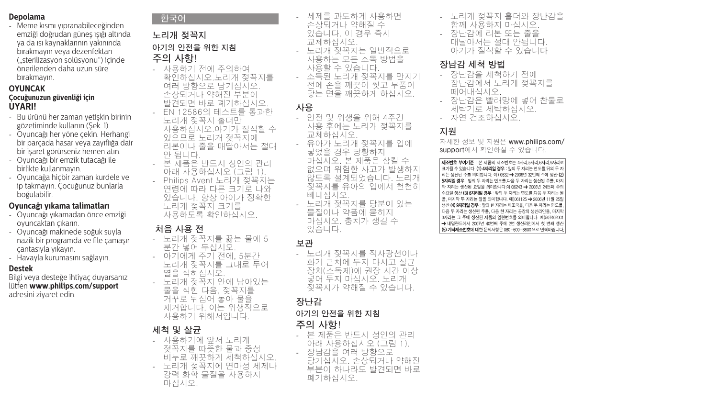#### **Depolama**

- Meme kısmı yıpranabileceğinden emziği doğrudan güneş ışığı altında ya da ısı kaynaklarının yakınında bırakmayın veya dezenfektan ("sterilizasyon solüsyonu") içinde önerilenden daha uzun süre bırakmayın.

#### **OYUNCAK**

#### **Çocuğunuzun güvenliği için UYARI!**

- Bu ürünü her zaman yetişkin birinin gözetiminde kullanın (Şek. 1).
- Oyuncağı her yöne çekin. Herhangi bir parçada hasar veya zayıflığa dair bir işaret görürseniz hemen atın.
- Oyuncağı bir emzik tutacağı ile birlikte kullanmayın.
- Oyuncağa hiçbir zaman kurdele ve ip takmayın. Çocuğunuz bunlarla boğulabilir.

#### **Oyuncağı yıkama talimatları**

- Oyuncağı yıkamadan önce emziği oyuncaktan çıkarın.
- Oyuncağı makinede soğuk suyla nazik bir programda ve file çamaşır çantasıyla yıkayın.
- Havayla kurumasını sağlayın.

#### **Destek**

Bilgi veya desteğe ihtiyaç duyarsanız lütfen **www.philips.com/support** adresini ziyaret edin.

#### **한국어**

## **노리개 젖꼭지 아기의 안전을 위한 지침 주의 사항!**

- 사용하기 전에 주의하여 확인하십시오.노리개 젖꼭지를 여러 방향으로 당기십시오. 손상되거나 약해진 부분이 발견되면 바로 폐기하십시오. - EN 12586의 테스트를 통과한 노리개 젖꼭지 홀더만 사용하십시오.아기가 질식할 수 있으므로 노리개 젖꼭지에 리본이나 줄을 매달아서는 절대 안 됩니다.
- 본 제품은 반드시 성인의 관리 아래 사용하십시오 (그림 1).
- Philips Avent 노리개 젖꼭지는 연령에 따라 다른 크기로 나와 있습니다. 항상 아이가 정확한 노리개 젖꼭지 크기를 사용하도록 확인하십시오.

#### **처음 사용 전**

- 노리개 젖꼭지를 끓는 물에 5 분간 넣어 두십시오. - 아기에게 주기 전에, 5분간 노리개 젖꼭지를 그대로 두어 열을 식히십시오. - 노리개 젖꼭지 안에 남아있는 물을 식힌 다음, 젖꼭지를 거꾸로 뒤집어 놓아 물을 제거합니다. 이는 위생적으로 사용하기 위해서입니다.
- **세척 및 살균**
- 사용하기에 앞서 노리개 젖꼭지를 따뜻한 물과 중성 비누로 깨끗하게 세척하십시오. - 노리개 젖꼭지에 연마성 세제나 강력 화학 물질을 사용하지 마십시오.

- 세제를 과도하게 사용하면 손상되거나 약해질 수 있습니다. 이 경우 즉시 교체하십시오. - 노리개 젖꼭지는 일반적으로 사용하는 모든 소독 방법을 사용할 수 있습니다. - 소독된 노리개 젖꼭지를 만지기 전에 손을 깨끗이 씻고 부품이 닿는 면을 깨끗하게 하십시오.

## **사용**

- 안전 및 위생을 위해 4주간 사용 후에는 노리개 젖꼭지를 교체하십시오. - 유아가 노리개 젖꼭지를 입에 넣었을 경우 당황하지 마십시오. 본 제품은 삼킬 수 없으며 위험한 사고가 발생하지 않도록 설계되었습니다. 노리개 젖꼭지를 유아의 입에서 천천히 빼내십시오. - 노리개 젖꼭지를 당분이 있는 물질이나 약품에 묻히지 마십시오. 충치가 생길 수 있습니다.

#### **보관**

- 노리개 젖꼭지를 직사광선이나 화기 근처에 두지 마시고 살균 장치(소독제)에 권장 시간 이상 넣어 두지 마십시오. 노리개 젖꼭지가 약해질 수 있습니다.

#### **장난감**

#### **아기의 안전을 위한 지침**

- **주의 사항!**
- 본 제품은 반드시 성인의 관리 아래 사용하십시오 (그림 1). - 장남감을 여러 방향으로 당기십시오. 손상되거나 약해진 부분이 하나라도 발견되면 바로 폐기하십시오.
- 노리개 젖꼭지 홀더와 장난감을 함께 사용하지 마십시오.
- 장난감에 리본 또는 줄을 매달아서는 절대 안됩니다. 아기가 질식할 수 있습니다

## **장남감 세척 방법**

- 장난감을 세척하기 전에 장난감에서 노리개 젖꼭지를 떼어내십시오.
- 장난감은 빨래망에 넣어 찬물로 세탁기로 세탁하십시오.
- 자연 건조하십시오.

## **지원**

자세한 정보 및 지원은 **www.philips.com/ support**에서 확인하실 수 있습니다.

제조번호 부여기준 : 본 제품의 제조번호는 4자리.5자리.6자리.9자리로 표기될 수 있습니다. (1) 4자리일 경우 : 앞의 두 자리는 리는 생산된 주름 의미합니다. 예) 0632 → 2006년 5자리일 경우 : 앞의 두 자리는 연도를 다음 두 자리는 수요일 생산 (3) 6자리일 경우 : 앞의 두 자리는 생산 (4) 9자리일 경우 : 앞의 한 자리는 제조국을, 다음 3자리는 그 주에 생산된 제품의 일련번호를 의미합니다. 예)50740200 → 네덜란드에서 2007년 40번째 주에 2번 생산라인에서 첫 번째 생신 (5) 기타제조번호에 대한 문의사항은 080-600-6600 으로 연락바랍니다.